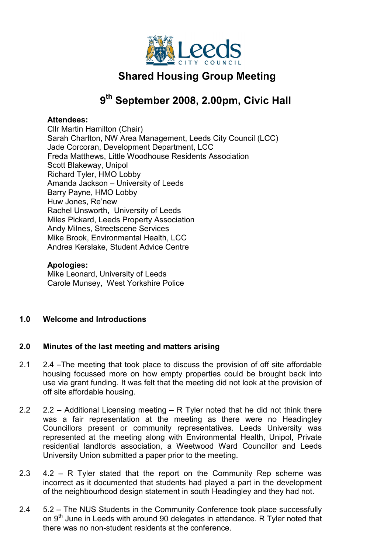

# Shared Housing Group Meeting

## 9<sup>th</sup> September 2008, 2.00pm, Civic Hall

#### Attendees:

Cllr Martin Hamilton (Chair) Sarah Charlton, NW Area Management, Leeds City Council (LCC) Jade Corcoran, Development Department, LCC Freda Matthews, Little Woodhouse Residents Association Scott Blakeway, Unipol Richard Tyler, HMO Lobby Amanda Jackson – University of Leeds Barry Payne, HMO Lobby Huw Jones, Re'new Rachel Unsworth, University of Leeds Miles Pickard, Leeds Property Association Andy Milnes, Streetscene Services Mike Brook, Environmental Health, LCC Andrea Kerslake, Student Advice Centre

## Apologies:

Mike Leonard, University of Leeds Carole Munsey, West Yorkshire Police

## 1.0 Welcome and Introductions

#### 2.0 Minutes of the last meeting and matters arising

- 2.1 2.4 –The meeting that took place to discuss the provision of off site affordable housing focussed more on how empty properties could be brought back into use via grant funding. It was felt that the meeting did not look at the provision of off site affordable housing.
- 2.2 2.2 – Additional Licensing meeting – R Tyler noted that he did not think there was a fair representation at the meeting as there were no Headingley Councillors present or community representatives. Leeds University was represented at the meeting along with Environmental Health, Unipol, Private residential landlords association, a Weetwood Ward Councillor and Leeds University Union submitted a paper prior to the meeting.
- 2.3 4.2 – R Tyler stated that the report on the Community Rep scheme was incorrect as it documented that students had played a part in the development of the neighbourhood design statement in south Headingley and they had not.
- 2.4 5.2 – The NUS Students in the Community Conference took place successfully on 9<sup>th</sup> June in Leeds with around 90 delegates in attendance. R Tyler noted that there was no non-student residents at the conference.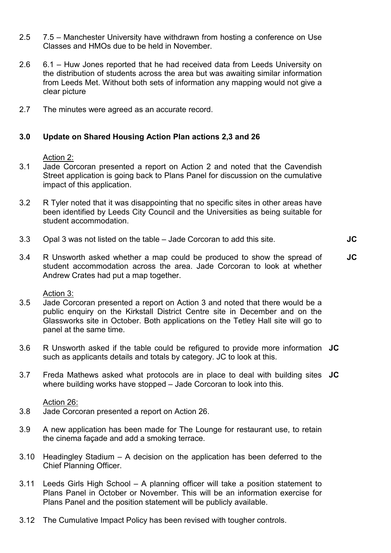- 2.5 7.5 – Manchester University have withdrawn from hosting a conference on Use Classes and HMOs due to be held in November.
- 2.6 6.1 – Huw Jones reported that he had received data from Leeds University on the distribution of students across the area but was awaiting similar information from Leeds Met. Without both sets of information any mapping would not give a clear picture
- 2.7 The minutes were agreed as an accurate record.

### 3.0 Update on Shared Housing Action Plan actions 2,3 and 26

Action 2:

- 3.1 Jade Corcoran presented a report on Action 2 and noted that the Cavendish Street application is going back to Plans Panel for discussion on the cumulative impact of this application.
- 3.2 R Tyler noted that it was disappointing that no specific sites in other areas have been identified by Leeds City Council and the Universities as being suitable for student accommodation.
- 3.3 Opal 3 was not listed on the table – Jade Corcoran to add this site.

JC

3.4 R Unsworth asked whether a map could be produced to show the spread of student accommodation across the area. Jade Corcoran to look at whether Andrew Crates had put a map together. JC

#### Action 3:

- 3.5 Jade Corcoran presented a report on Action 3 and noted that there would be a public enquiry on the Kirkstall District Centre site in December and on the Glassworks site in October. Both applications on the Tetley Hall site will go to panel at the same time.
- 3.6 R Unsworth asked if the table could be refigured to provide more information JC such as applicants details and totals by category. JC to look at this.
- 3.7 Freda Mathews asked what protocols are in place to deal with building sites JC where building works have stopped – Jade Corcoran to look into this.

#### Action 26:

- 3.8 Jade Corcoran presented a report on Action 26.
- 3.9 A new application has been made for The Lounge for restaurant use, to retain the cinema façade and add a smoking terrace.
- 3.10 Headingley Stadium A decision on the application has been deferred to the Chief Planning Officer.
- 3.11 Leeds Girls High School A planning officer will take a position statement to Plans Panel in October or November. This will be an information exercise for Plans Panel and the position statement will be publicly available.
- 3.12 The Cumulative Impact Policy has been revised with tougher controls.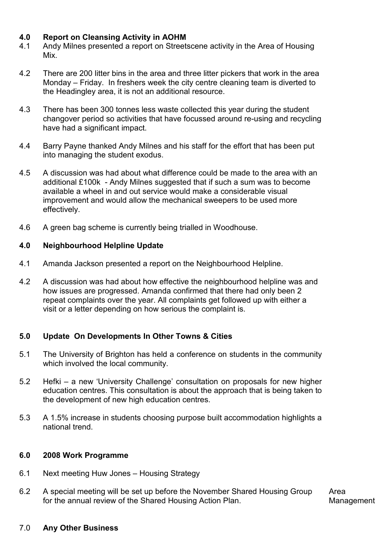## 4.0 Report on Cleansing Activity in AOHM

- 4.1 Andy Milnes presented a report on Streetscene activity in the Area of Housing Mix.
- 4.2 There are 200 litter bins in the area and three litter pickers that work in the area Monday – Friday. In freshers week the city centre cleaning team is diverted to the Headingley area, it is not an additional resource.
- 4.3 There has been 300 tonnes less waste collected this year during the student changover period so activities that have focussed around re-using and recycling have had a significant impact.
- 4.4 Barry Payne thanked Andy Milnes and his staff for the effort that has been put into managing the student exodus.
- 4.5 A discussion was had about what difference could be made to the area with an additional £100k - Andy Milnes suggested that if such a sum was to become available a wheel in and out service would make a considerable visual improvement and would allow the mechanical sweepers to be used more effectively.
- 4.6 A green bag scheme is currently being trialled in Woodhouse.

### 4.0 Neighbourhood Helpline Update

- 4.1 Amanda Jackson presented a report on the Neighbourhood Helpline.
- 4.2 A discussion was had about how effective the neighbourhood helpline was and how issues are progressed. Amanda confirmed that there had only been 2 repeat complaints over the year. All complaints get followed up with either a visit or a letter depending on how serious the complaint is.

## 5.0 Update On Developments In Other Towns & Cities

- 5.1 The University of Brighton has held a conference on students in the community which involved the local community.
- 5.2 Hefki – a new 'University Challenge' consultation on proposals for new higher education centres. This consultation is about the approach that is being taken to the development of new high education centres.
- 5.3 A 1.5% increase in students choosing purpose built accommodation highlights a national trend.

#### 6.0 2008 Work Programme

- 6.1 Next meeting Huw Jones – Housing Strategy
- 6.2 A special meeting will be set up before the November Shared Housing Group for the annual review of the Shared Housing Action Plan. Area

Management

#### 7.0 Any Other Business